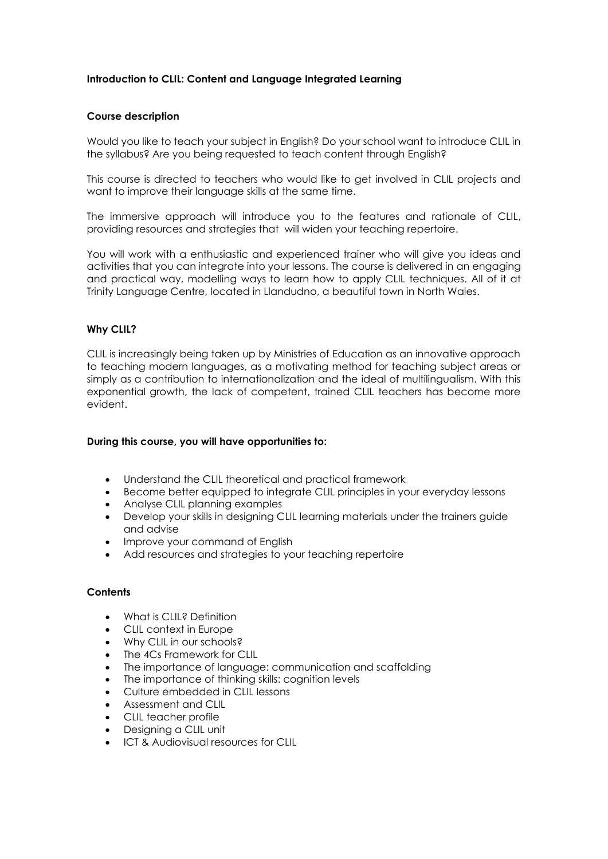# **Introduction to CLIL: Content and Language Integrated Learning**

## **Course description**

Would you like to teach your subject in English? Do your school want to introduce CLIL in the syllabus? Are you being requested to teach content through English?

This course is directed to teachers who would like to get involved in CLIL projects and want to improve their language skills at the same time.

The immersive approach will introduce you to the features and rationale of CLIL, providing resources and strategies that will widen your teaching repertoire.

You will work with a enthusiastic and experienced trainer who will give you ideas and activities that you can integrate into your lessons. The course is delivered in an engaging and practical way, modelling ways to learn how to apply CLIL techniques. All of it at Trinity Language Centre, located in Llandudno, a beautiful town in North Wales.

## **Why CLIL?**

CLIL is increasingly being taken up by Ministries of Education as an innovative approach to teaching modern languages, as a motivating method for teaching subject areas or simply as a contribution to internationalization and the ideal of multilingualism. With this exponential growth, the lack of competent, trained CLIL teachers has become more evident.

## **During this course, you will have opportunities to:**

- Understand the CLIL theoretical and practical framework
- Become better equipped to integrate CLIL principles in your everyday lessons
- Analyse CLIL planning examples
- Develop your skills in designing CLIL learning materials under the trainers guide and advise
- Improve your command of English
- Add resources and strategies to your teaching repertoire

#### **Contents**

- What is CLIL<sub>8</sub> Definition
- CLIL context in Europe
- Why CLIL in our schools?
- The 4Cs Framework for CLIL
- The importance of language: communication and scaffolding
- The importance of thinking skills: cognition levels
- Culture embedded in CLIL lessons
- Assessment and CLIL
- CLIL teacher profile
- Designing a CLIL unit
- ICT & Audiovisual resources for CLIL